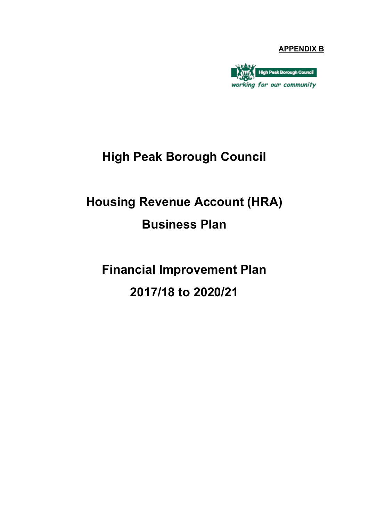#### **APPENDIX B**



## **High Peak Borough Council**

# **Housing Revenue Account (HRA) Business Plan**

**Financial Improvement Plan 2017/18 to 2020/21**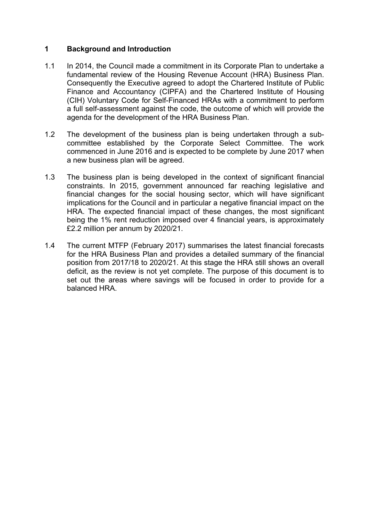#### **1 Background and Introduction**

- 1.1 In 2014, the Council made a commitment in its Corporate Plan to undertake a fundamental review of the Housing Revenue Account (HRA) Business Plan. Consequently the Executive agreed to adopt the Chartered Institute of Public Finance and Accountancy (CIPFA) and the Chartered Institute of Housing (CIH) Voluntary Code for Self-Financed HRAs with a commitment to perform a full self-assessment against the code, the outcome of which will provide the agenda for the development of the HRA Business Plan.
- 1.2 The development of the business plan is being undertaken through a subcommittee established by the Corporate Select Committee. The work commenced in June 2016 and is expected to be complete by June 2017 when a new business plan will be agreed.
- 1.3 The business plan is being developed in the context of significant financial constraints. In 2015, government announced far reaching legislative and financial changes for the social housing sector, which will have significant implications for the Council and in particular a negative financial impact on the HRA. The expected financial impact of these changes, the most significant being the 1% rent reduction imposed over 4 financial years, is approximately £2.2 million per annum by 2020/21.
- 1.4 The current MTFP (February 2017) summarises the latest financial forecasts for the HRA Business Plan and provides a detailed summary of the financial position from 2017/18 to 2020/21. At this stage the HRA still shows an overall deficit, as the review is not yet complete. The purpose of this document is to set out the areas where savings will be focused in order to provide for a balanced HRA.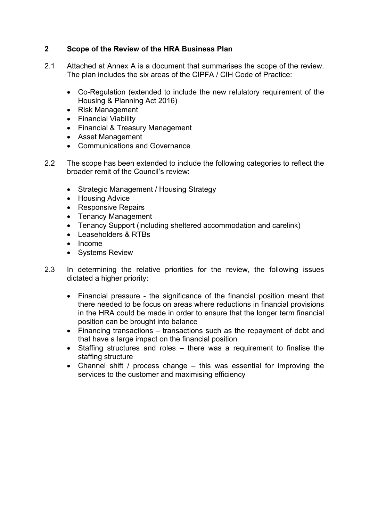#### **2 Scope of the Review of the HRA Business Plan**

- 2.1 Attached at Annex A is a document that summarises the scope of the review. The plan includes the six areas of the CIPFA / CIH Code of Practice:
	- Co-Regulation (extended to include the new relulatory requirement of the Housing & Planning Act 2016)
	- Risk Management
	- Financial Viability
	- Financial & Treasury Management
	- Asset Management
	- Communications and Governance
- 2.2 The scope has been extended to include the following categories to reflect the broader remit of the Council's review:
	- Strategic Management / Housing Strategy
	- Housing Advice
	- Responsive Repairs
	- Tenancy Management
	- Tenancy Support (including sheltered accommodation and carelink)
	- Leaseholders & RTBs
	- Income
	- Systems Review
- 2.3 In determining the relative priorities for the review, the following issues dictated a higher priority:
	- Financial pressure the significance of the financial position meant that there needed to be focus on areas where reductions in financial provisions in the HRA could be made in order to ensure that the longer term financial position can be brought into balance
	- Financing transactions transactions such as the repayment of debt and that have a large impact on the financial position
	- Staffing structures and roles there was a requirement to finalise the staffing structure
	- Channel shift / process change this was essential for improving the services to the customer and maximising efficiency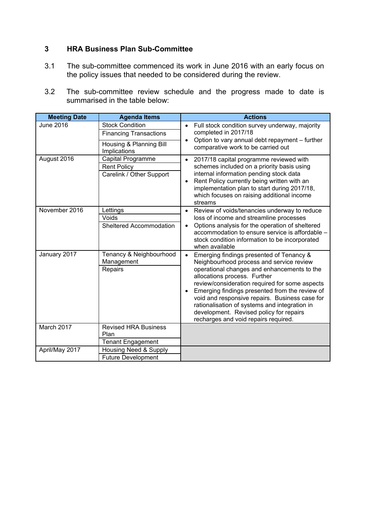#### **3 HRA Business Plan Sub-Committee**

- 3.1 The sub-committee commenced its work in June 2016 with an early focus on the policy issues that needed to be considered during the review.
- 3.2 The sub-committee review schedule and the progress made to date is summarised in the table below:

| <b>Meeting Date</b> | <b>Agenda Items</b>                     | <b>Actions</b>                                                                                                                                                                                                                                                                                                                                                                                                                 |
|---------------------|-----------------------------------------|--------------------------------------------------------------------------------------------------------------------------------------------------------------------------------------------------------------------------------------------------------------------------------------------------------------------------------------------------------------------------------------------------------------------------------|
| <b>June 2016</b>    | <b>Stock Condition</b>                  | Full stock condition survey underway, majority<br>completed in 2017/18                                                                                                                                                                                                                                                                                                                                                         |
|                     | <b>Financing Transactions</b>           | Option to vary annual debt repayment - further<br>$\bullet$                                                                                                                                                                                                                                                                                                                                                                    |
|                     | Housing & Planning Bill<br>Implications | comparative work to be carried out                                                                                                                                                                                                                                                                                                                                                                                             |
| August 2016         | Capital Programme                       | 2017/18 capital programme reviewed with<br>$\bullet$                                                                                                                                                                                                                                                                                                                                                                           |
|                     | <b>Rent Policy</b>                      | schemes included on a priority basis using                                                                                                                                                                                                                                                                                                                                                                                     |
|                     | Carelink / Other Support                | internal information pending stock data<br>Rent Policy currently being written with an<br>$\bullet$<br>implementation plan to start during 2017/18,<br>which focuses on raising additional income<br>streams                                                                                                                                                                                                                   |
| November 2016       | Lettings                                | Review of voids/tenancies underway to reduce<br>$\bullet$                                                                                                                                                                                                                                                                                                                                                                      |
|                     | Voids                                   | loss of income and streamline processes                                                                                                                                                                                                                                                                                                                                                                                        |
|                     | <b>Sheltered Accommodation</b>          | Options analysis for the operation of sheltered<br>$\bullet$<br>accommodation to ensure service is affordable -<br>stock condition information to be incorporated<br>when available                                                                                                                                                                                                                                            |
| January 2017        | Tenancy & Neighbourhood                 | Emerging findings presented of Tenancy &<br>$\bullet$                                                                                                                                                                                                                                                                                                                                                                          |
|                     | Management<br>Repairs                   | Neighbourhood process and service review<br>operational changes and enhancements to the<br>allocations process. Further<br>review/consideration required for some aspects<br>Emerging findings presented from the review of<br>$\bullet$<br>void and responsive repairs. Business case for<br>rationalisation of systems and integration in<br>development. Revised policy for repairs<br>recharges and void repairs required. |
| March 2017          | <b>Revised HRA Business</b>             |                                                                                                                                                                                                                                                                                                                                                                                                                                |
|                     | Plan                                    |                                                                                                                                                                                                                                                                                                                                                                                                                                |
|                     | <b>Tenant Engagement</b>                |                                                                                                                                                                                                                                                                                                                                                                                                                                |
| April/May 2017      | Housing Need & Supply                   |                                                                                                                                                                                                                                                                                                                                                                                                                                |
|                     | <b>Future Development</b>               |                                                                                                                                                                                                                                                                                                                                                                                                                                |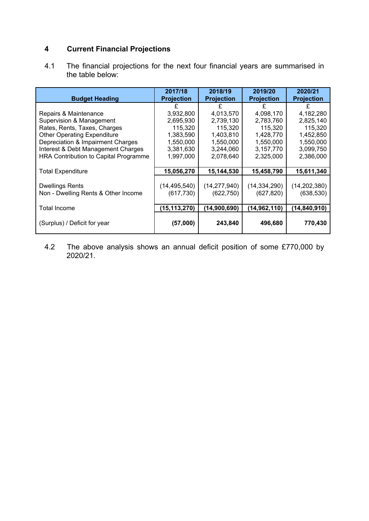### **4 Current Financial Projections**

4.1 The financial projections for the next four financial years are summarised in the table below:

| <b>Budget Heading</b>                 | 2017/18<br><b>Projection</b> | 2018/19<br><b>Projection</b> | 2019/20<br><b>Projection</b> | 2020/21<br><b>Projection</b> |
|---------------------------------------|------------------------------|------------------------------|------------------------------|------------------------------|
|                                       |                              |                              |                              |                              |
| Repairs & Maintenance                 | 3,932,800                    | 4,013,570                    | 4,098,170                    | 4,182,280                    |
| Supervision & Management              | 2,695,930                    | 2,739,130                    | 2,783,760                    | 2,825,140                    |
| Rates, Rents, Taxes, Charges          | 115,320                      | 115,320                      | 115,320                      | 115,320                      |
| <b>Other Operating Expenditure</b>    | 1,383,590                    | 1,403,810                    | 1,428,770                    | 1,452,850                    |
| Depreciation & Impairment Charges     | 1,550,000                    | 1,550,000                    | 1,550,000                    | 1,550,000                    |
| Interest & Debt Management Charges    | 3,381,630                    | 3,244,060                    | 3,157,770                    | 3,099,750                    |
| HRA Contribution to Capital Programme | 1,997,000                    | 2,078,640                    | 2,325,000                    | 2,386,000                    |
|                                       |                              |                              |                              |                              |
| <b>Total Expenditure</b>              | 15,056,270                   | 15,144,530                   | 15,458,790                   | 15,611,340                   |
|                                       |                              |                              |                              |                              |
| <b>Dwellings Rents</b>                | (14, 495, 540)               | (14, 277, 940)               | (14, 334, 290)               | (14, 202, 380)               |
| Non - Dwelling Rents & Other Income   | (617, 730)                   | (622, 750)                   | (627, 820)                   | (638, 530)                   |
|                                       |                              |                              |                              |                              |
| <b>Total Income</b>                   | (15, 113, 270)               | (14,900,690)                 | (14, 962, 110)               | (14, 840, 910)               |
| (Surplus) / Deficit for year          | (57,000)                     | 243,840                      | 496,680                      | 770,430                      |

4.2 The above analysis shows an annual deficit position of some £770,000 by 2020/21.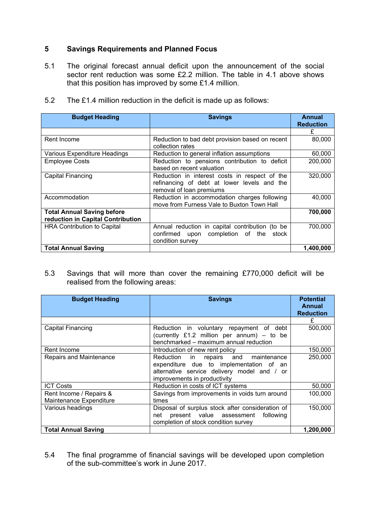#### **5 Savings Requirements and Planned Focus**

5.1 The original forecast annual deficit upon the announcement of the social sector rent reduction was some £2.2 million. The table in 4.1 above shows that this position has improved by some £1.4 million.

| <b>Budget Heading</b>              | <b>Savings</b>                                  | Annual           |  |  |  |
|------------------------------------|-------------------------------------------------|------------------|--|--|--|
|                                    |                                                 | <b>Reduction</b> |  |  |  |
|                                    |                                                 | £                |  |  |  |
| Rent Income                        | Reduction to bad debt provision based on recent | 80,000           |  |  |  |
|                                    | collection rates                                |                  |  |  |  |
| Various Expenditure Headings       | Reduction to general inflation assumptions      | 60,000           |  |  |  |
| <b>Employee Costs</b>              | Reduction to pensions contribution to deficit   | 200,000          |  |  |  |
|                                    | based on recent valuation                       |                  |  |  |  |
| Capital Financing                  | Reduction in interest costs in respect of the   | 320,000          |  |  |  |
|                                    | refinancing of debt at lower levels and the     |                  |  |  |  |
|                                    | removal of loan premiums                        |                  |  |  |  |
| Accommodation                      | Reduction in accommodation charges following    | 40,000           |  |  |  |
|                                    | move from Furness Vale to Buxton Town Hall      |                  |  |  |  |
| <b>Total Annual Saving before</b>  |                                                 | 700,000          |  |  |  |
| reduction in Capital Contribution  |                                                 |                  |  |  |  |
| <b>HRA Contribution to Capital</b> | Annual reduction in capital contribution (to be | 700,000          |  |  |  |
|                                    | confirmed upon completion of the<br>stock       |                  |  |  |  |
|                                    | condition survey                                |                  |  |  |  |
| <b>Total Annual Saving</b>         |                                                 | 1,400,000        |  |  |  |

5.2 The £1.4 million reduction in the deficit is made up as follows:

5.3 Savings that will more than cover the remaining £770,000 deficit will be realised from the following areas:

| <b>Budget Heading</b>                              | <b>Savings</b>                                                                                                                                                 | <b>Potential</b><br>Annual<br><b>Reduction</b> |
|----------------------------------------------------|----------------------------------------------------------------------------------------------------------------------------------------------------------------|------------------------------------------------|
|                                                    |                                                                                                                                                                | £                                              |
| Capital Financing                                  | Reduction in voluntary repayment of debt<br>(currently £1.2 million per annum) - to be                                                                         | 500,000                                        |
|                                                    | benchmarked - maximum annual reduction                                                                                                                         |                                                |
| Rent Income                                        | Introduction of new rent policy                                                                                                                                | 150,000                                        |
| <b>Repairs and Maintenance</b>                     | Reduction in repairs and maintenance<br>expenditure due to implementation of an<br>alternative service delivery model and / or<br>improvements in productivity | 250,000                                        |
| <b>ICT Costs</b>                                   | Reduction in costs of ICT systems                                                                                                                              | 50,000                                         |
| Rent Income / Repairs &<br>Maintenance Expenditure | Savings from improvements in voids turn around<br>times                                                                                                        | 100,000                                        |
| Various headings                                   | Disposal of surplus stock after consideration of<br>present value assessment<br>following<br>net<br>completion of stock condition survey                       | 150,000                                        |
| <b>Total Annual Saving</b>                         |                                                                                                                                                                | 1,200,000                                      |

5.4 The final programme of financial savings will be developed upon completion of the sub-committee's work in June 2017.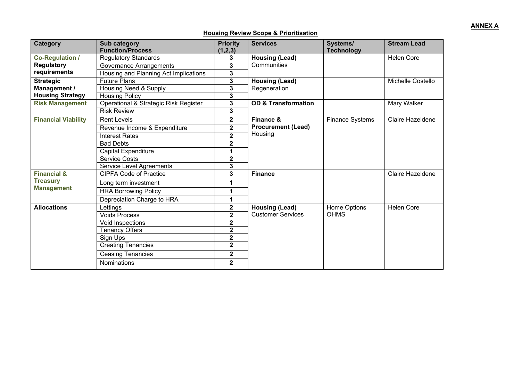#### **Housing Review Scope & Prioritisation**

| <b>Category</b>            | Sub category                          | <b>Priority</b>         | <b>Services</b>                                   | Systems/               | <b>Stream Lead</b> |
|----------------------------|---------------------------------------|-------------------------|---------------------------------------------------|------------------------|--------------------|
|                            | <b>Function/Process</b>               | (1,2,3)                 |                                                   | <b>Technology</b>      |                    |
| <b>Co-Regulation /</b>     | <b>Regulatory Standards</b>           | 3                       | <b>Housing (Lead)</b><br>Communities              |                        | <b>Helen Core</b>  |
| <b>Regulatory</b>          | Governance Arrangements               | 3                       |                                                   |                        |                    |
| requirements               | Housing and Planning Act Implications | 3                       |                                                   |                        |                    |
| <b>Strategic</b>           | <b>Future Plans</b>                   | 3                       | <b>Housing (Lead)</b>                             |                        | Michelle Costello  |
| Management /               | Housing Need & Supply                 | 3                       | Regeneration                                      |                        |                    |
| <b>Housing Strategy</b>    | <b>Housing Policy</b>                 | 3                       |                                                   |                        |                    |
| <b>Risk Management</b>     | Operational & Strategic Risk Register | 3                       | <b>OD &amp; Transformation</b>                    |                        | Mary Walker        |
|                            | <b>Risk Review</b>                    | 3                       |                                                   |                        |                    |
| <b>Financial Viability</b> | <b>Rent Levels</b>                    | $\mathbf 2$             | Finance &                                         | <b>Finance Systems</b> | Claire Hazeldene   |
|                            | Revenue Income & Expenditure          | $\overline{\mathbf{2}}$ | <b>Procurement (Lead)</b><br>Housing              |                        |                    |
|                            | <b>Interest Rates</b>                 | $\overline{2}$          |                                                   |                        |                    |
|                            | <b>Bad Debts</b>                      | $\mathbf 2$             |                                                   |                        |                    |
|                            | <b>Capital Expenditure</b>            | 1                       |                                                   |                        |                    |
|                            | <b>Service Costs</b>                  | $\mathbf 2$             |                                                   |                        |                    |
|                            | Service Level Agreements              | 3                       |                                                   |                        |                    |
| <b>Financial &amp;</b>     | <b>CIPFA Code of Practice</b>         | 3                       | <b>Finance</b>                                    |                        | Claire Hazeldene   |
| <b>Treasury</b>            | Long term investment                  | 1                       |                                                   |                        |                    |
| <b>Management</b>          | <b>HRA Borrowing Policy</b>           | 1                       |                                                   |                        |                    |
|                            | Depreciation Charge to HRA            | 1                       |                                                   |                        |                    |
| <b>Allocations</b>         | Lettings                              | $\overline{\mathbf{2}}$ | <b>Housing (Lead)</b><br><b>Customer Services</b> | Home Options           | <b>Helen Core</b>  |
|                            | <b>Voids Process</b>                  | $\mathbf 2$             |                                                   | <b>OHMS</b>            |                    |
|                            | Void Inspections                      | $\overline{\mathbf{2}}$ |                                                   |                        |                    |
|                            | <b>Tenancy Offers</b>                 | $\mathbf 2$             |                                                   |                        |                    |
|                            | Sign Ups                              | $\mathbf 2$             |                                                   |                        |                    |
|                            | <b>Creating Tenancies</b>             | $\overline{\mathbf{2}}$ |                                                   |                        |                    |
|                            | <b>Ceasing Tenancies</b>              | $\mathbf 2$             |                                                   |                        |                    |
|                            | Nominations                           | $\mathbf 2$             |                                                   |                        |                    |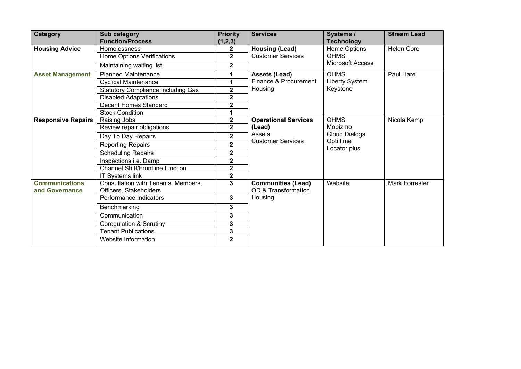| <b>Category</b>                         | Sub category<br><b>Function/Process</b>                       | <b>Priority</b><br>(1,2,3) | <b>Services</b>                                                        | Systems /<br><b>Technology</b>                                              | <b>Stream Lead</b> |
|-----------------------------------------|---------------------------------------------------------------|----------------------------|------------------------------------------------------------------------|-----------------------------------------------------------------------------|--------------------|
| <b>Housing Advice</b>                   | Homelessness                                                  | $\mathbf{2}$               | <b>Housing (Lead)</b><br><b>Customer Services</b>                      | Home Options<br><b>OHMS</b>                                                 | <b>Helen Core</b>  |
|                                         | Home Options Verifications                                    | $\overline{2}$             |                                                                        |                                                                             |                    |
|                                         | Maintaining waiting list                                      | 2                          |                                                                        | <b>Microsoft Access</b>                                                     |                    |
| <b>Asset Management</b>                 | <b>Planned Maintenance</b>                                    | 1                          | <b>Assets (Lead)</b>                                                   | <b>OHMS</b>                                                                 | Paul Hare          |
|                                         | <b>Cyclical Maintenance</b>                                   | 1                          | Finance & Procurement                                                  | Liberty System                                                              |                    |
|                                         | <b>Statutory Compliance Including Gas</b>                     | $\mathbf{2}$               | Housing                                                                | Keystone                                                                    |                    |
|                                         | <b>Disabled Adaptations</b>                                   | $\mathbf{2}$               |                                                                        |                                                                             |                    |
|                                         | <b>Decent Homes Standard</b>                                  | $\overline{\mathbf{2}}$    |                                                                        |                                                                             |                    |
|                                         | <b>Stock Condition</b>                                        | 1                          |                                                                        |                                                                             |                    |
| <b>Responsive Repairs</b>               | Raising Jobs                                                  | $\mathbf{2}$               | <b>Operational Services</b>                                            | <b>OHMS</b><br>Mobizmo<br><b>Cloud Dialogs</b><br>Opti time<br>Locator plus | Nicola Kemp        |
|                                         | Review repair obligations                                     | $\mathbf{2}$               | (Lead)<br>Assets<br><b>Customer Services</b>                           |                                                                             |                    |
|                                         | Day To Day Repairs                                            | $\mathbf{2}$               |                                                                        |                                                                             |                    |
|                                         | <b>Reporting Repairs</b>                                      | $\overline{\mathbf{2}}$    |                                                                        |                                                                             |                    |
|                                         | <b>Scheduling Repairs</b>                                     | $\overline{\mathbf{2}}$    |                                                                        |                                                                             |                    |
|                                         | Inspections i.e. Damp                                         | $\overline{\mathbf{2}}$    |                                                                        |                                                                             |                    |
|                                         | <b>Channel Shift/Frontline function</b>                       | $\mathbf 2$                |                                                                        |                                                                             |                    |
|                                         | <b>IT Systems link</b>                                        | $\overline{\mathbf{2}}$    |                                                                        |                                                                             |                    |
| <b>Communications</b><br>and Governance | Consultation with Tenants, Members,<br>Officers, Stakeholders | $\overline{3}$             | <b>Communities (Lead)</b><br>Website<br>OD & Transformation<br>Housing |                                                                             | Mark Forrester     |
|                                         | Performance Indicators                                        | 3                          |                                                                        |                                                                             |                    |
|                                         | Benchmarking                                                  | 3                          |                                                                        |                                                                             |                    |
|                                         | Communication                                                 | 3                          |                                                                        |                                                                             |                    |
|                                         | Coregulation & Scrutiny                                       | 3                          |                                                                        |                                                                             |                    |
|                                         | <b>Tenant Publications</b>                                    | 3                          |                                                                        |                                                                             |                    |
|                                         | Website Information                                           | $\overline{2}$             |                                                                        |                                                                             |                    |